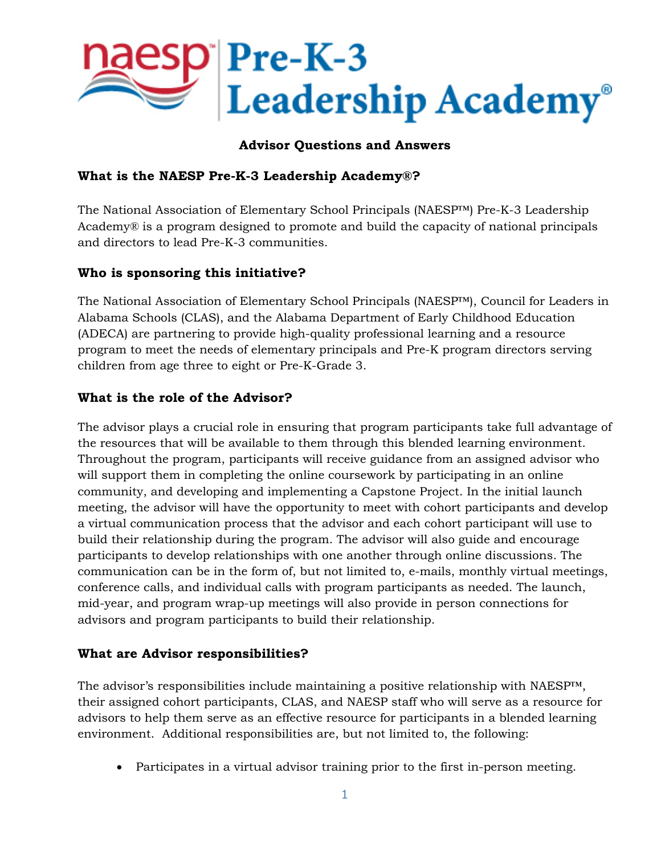

### **Advisor Questions and Answers**

#### **What is the NAESP Pre-K-3 Leadership Academy®?**

The National Association of Elementary School Principals (NAESP™) Pre-K-3 Leadership Academy® is a program designed to promote and build the capacity of national principals and directors to lead Pre-K-3 communities.

### **Who is sponsoring this initiative?**

The National Association of Elementary School Principals (NAESP™), Council for Leaders in Alabama Schools (CLAS), and the Alabama Department of Early Childhood Education (ADECA) are partnering to provide high-quality professional learning and a resource program to meet the needs of elementary principals and Pre-K program directors serving children from age three to eight or Pre-K-Grade 3.

### **What is the role of the Advisor?**

The advisor plays a crucial role in ensuring that program participants take full advantage of the resources that will be available to them through this blended learning environment. Throughout the program, participants will receive guidance from an assigned advisor who will support them in completing the online coursework by participating in an online community, and developing and implementing a Capstone Project. In the initial launch meeting, the advisor will have the opportunity to meet with cohort participants and develop a virtual communication process that the advisor and each cohort participant will use to build their relationship during the program. The advisor will also guide and encourage participants to develop relationships with one another through online discussions. The communication can be in the form of, but not limited to, e-mails, monthly virtual meetings, conference calls, and individual calls with program participants as needed. The launch, mid-year, and program wrap-up meetings will also provide in person connections for advisors and program participants to build their relationship.

#### **What are Advisor responsibilities?**

The advisor's responsibilities include maintaining a positive relationship with NAESP<sup>IM</sup>, their assigned cohort participants, CLAS, and NAESP staff who will serve as a resource for advisors to help them serve as an effective resource for participants in a blended learning environment. Additional responsibilities are, but not limited to, the following:

• Participates in a virtual advisor training prior to the first in-person meeting.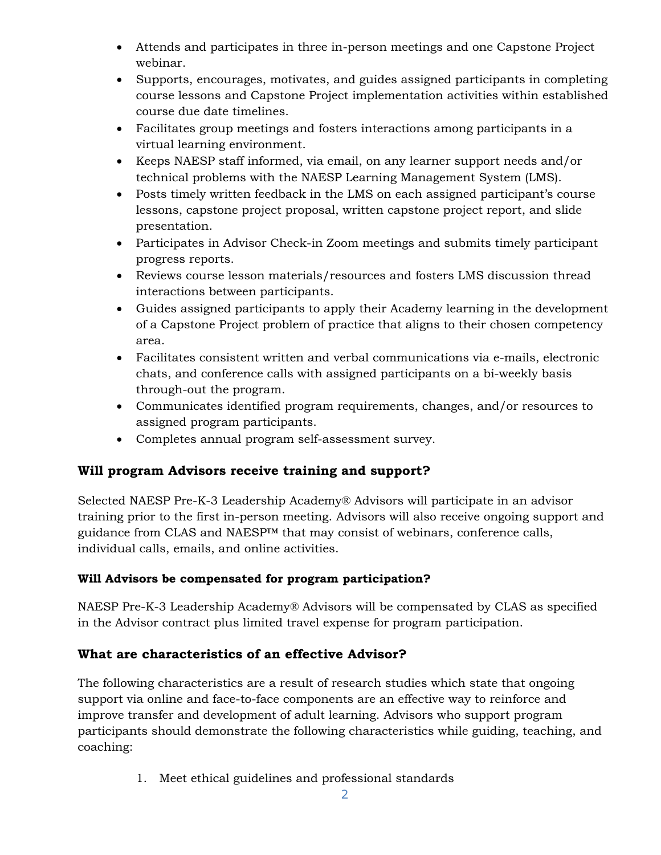- Attends and participates in three in-person meetings and one Capstone Project webinar.
- Supports, encourages, motivates, and guides assigned participants in completing course lessons and Capstone Project implementation activities within established course due date timelines.
- Facilitates group meetings and fosters interactions among participants in a virtual learning environment.
- Keeps NAESP staff informed, via email, on any learner support needs and/or technical problems with the NAESP Learning Management System (LMS).
- Posts timely written feedback in the LMS on each assigned participant's course lessons, capstone project proposal, written capstone project report, and slide presentation.
- Participates in Advisor Check-in Zoom meetings and submits timely participant progress reports.
- Reviews course lesson materials/resources and fosters LMS discussion thread interactions between participants.
- Guides assigned participants to apply their Academy learning in the development of a Capstone Project problem of practice that aligns to their chosen competency area.
- Facilitates consistent written and verbal communications via e-mails, electronic chats, and conference calls with assigned participants on a bi-weekly basis through-out the program.
- Communicates identified program requirements, changes, and/or resources to assigned program participants.
- Completes annual program self-assessment survey.

# **Will program Advisors receive training and support?**

Selected NAESP Pre-K-3 Leadership Academy® Advisors will participate in an advisor training prior to the first in-person meeting. Advisors will also receive ongoing support and guidance from CLAS and NAESP<sup>™</sup> that may consist of webinars, conference calls, individual calls, emails, and online activities.

### **Will Advisors be compensated for program participation?**

NAESP Pre-K-3 Leadership Academy® Advisors will be compensated by CLAS as specified in the Advisor contract plus limited travel expense for program participation.

# **What are characteristics of an effective Advisor?**

The following characteristics are a result of research studies which state that ongoing support via online and face-to-face components are an effective way to reinforce and improve transfer and development of adult learning. Advisors who support program participants should demonstrate the following characteristics while guiding, teaching, and coaching:

1. Meet ethical guidelines and professional standards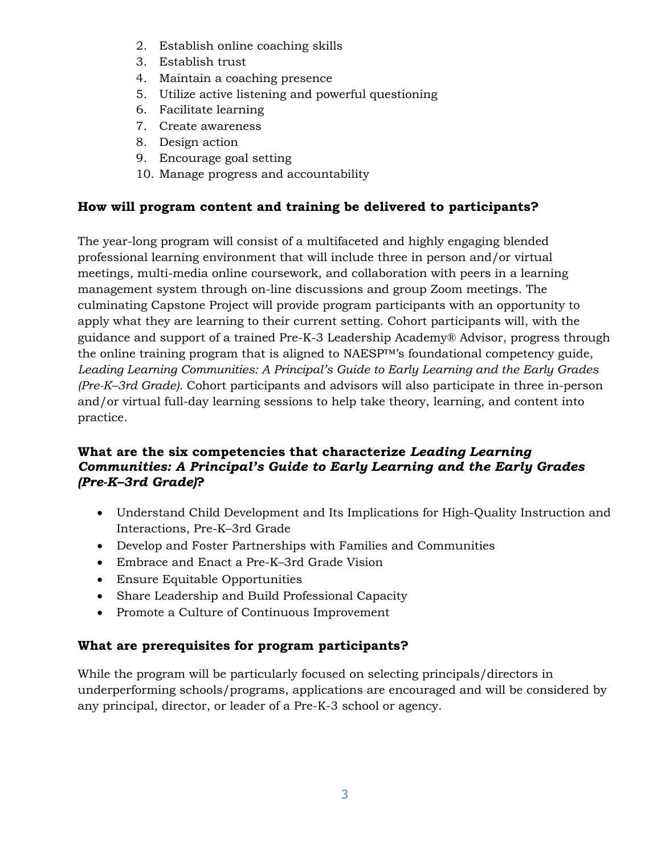- 2. Establish online coaching skills
- 3. Establish trust
- 4. Maintain a coaching presence
- 5. Utilize active listening and powerful questioning
- 6. Facilitate learning
- 7. Create awareness
- 8. Design action
- 9. Encourage goal setting
- 10. Manage progress and accountability

## **How will program content and training be delivered to participants?**

The year-long program will consist of a multifaceted and highly engaging blended professional learning environment that will include three in person and/or virtual meetings, multi-media online coursework, and collaboration with peers in a learning management system through on-line discussions and group Zoom meetings. The culminating Capstone Project will provide program participants with an opportunity to apply what they are learning to their current setting. Cohort participants will, with the guidance and support of a trained Pre-K-3 Leadership Academy® Advisor, progress through the online training program that is aligned to NAESP™'s foundational competency guide, *Leading Learning Communities: A Principal's Guide to Early Learning and the Early Grades (Pre-K–3rd Grade).* Cohort participants and advisors will also participate in three in-person and/or virtual full-day learning sessions to help take theory, learning, and content into practice.

### **What are the six competencies that characterize** *Leading Learning Communities: A Principal's Guide to Early Learning and the Early Grades (Pre-K–3rd Grade)***?**

- Understand Child Development and Its Implications for High-Quality Instruction and Interactions, Pre-K–3rd Grade
- Develop and Foster Partnerships with Families and Communities
- Embrace and Enact a Pre-K–3rd Grade Vision
- Ensure Equitable Opportunities
- Share Leadership and Build Professional Capacity
- Promote a Culture of Continuous Improvement

### **What are prerequisites for program participants?**

While the program will be particularly focused on selecting principals/directors in underperforming schools/programs, applications are encouraged and will be considered by any principal, director, or leader of a Pre-K-3 school or agency.